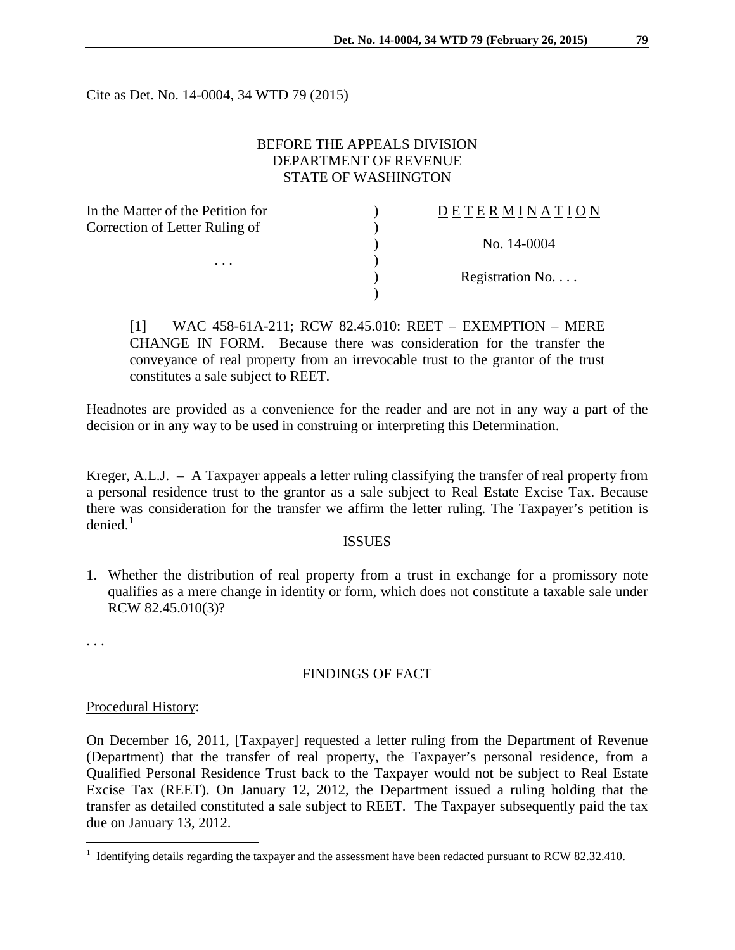Cite as Det. No. 14-0004, 34 WTD 79 (2015)

# BEFORE THE APPEALS DIVISION DEPARTMENT OF REVENUE STATE OF WASHINGTON

| In the Matter of the Petition for          | DETERMINATION   |
|--------------------------------------------|-----------------|
| Correction of Letter Ruling of<br>$\cdots$ |                 |
|                                            | No. 14-0004     |
|                                            |                 |
|                                            | Registration No |
|                                            |                 |

[1] WAC 458-61A-211; RCW 82.45.010: REET – EXEMPTION – MERE CHANGE IN FORM. Because there was consideration for the transfer the conveyance of real property from an irrevocable trust to the grantor of the trust constitutes a sale subject to REET.

Headnotes are provided as a convenience for the reader and are not in any way a part of the decision or in any way to be used in construing or interpreting this Determination.

Kreger, A.L.J. – A Taxpayer appeals a letter ruling classifying the transfer of real property from a personal residence trust to the grantor as a sale subject to Real Estate Excise Tax. Because there was consideration for the transfer we affirm the letter ruling. The Taxpayer's petition is  $denied.<sup>1</sup>$  $denied.<sup>1</sup>$  $denied.<sup>1</sup>$ 

#### ISSUES

1. Whether the distribution of real property from a trust in exchange for a promissory note qualifies as a mere change in identity or form, which does not constitute a taxable sale under RCW 82.45.010(3)?

. . .

 $\overline{a}$ 

## FINDINGS OF FACT

#### Procedural History:

On December 16, 2011, [Taxpayer] requested a letter ruling from the Department of Revenue (Department) that the transfer of real property, the Taxpayer's personal residence, from a Qualified Personal Residence Trust back to the Taxpayer would not be subject to Real Estate Excise Tax (REET). On January 12, 2012, the Department issued a ruling holding that the transfer as detailed constituted a sale subject to REET. The Taxpayer subsequently paid the tax due on January 13, 2012.

<span id="page-0-0"></span> $1$  Identifying details regarding the taxpayer and the assessment have been redacted pursuant to RCW 82.32.410.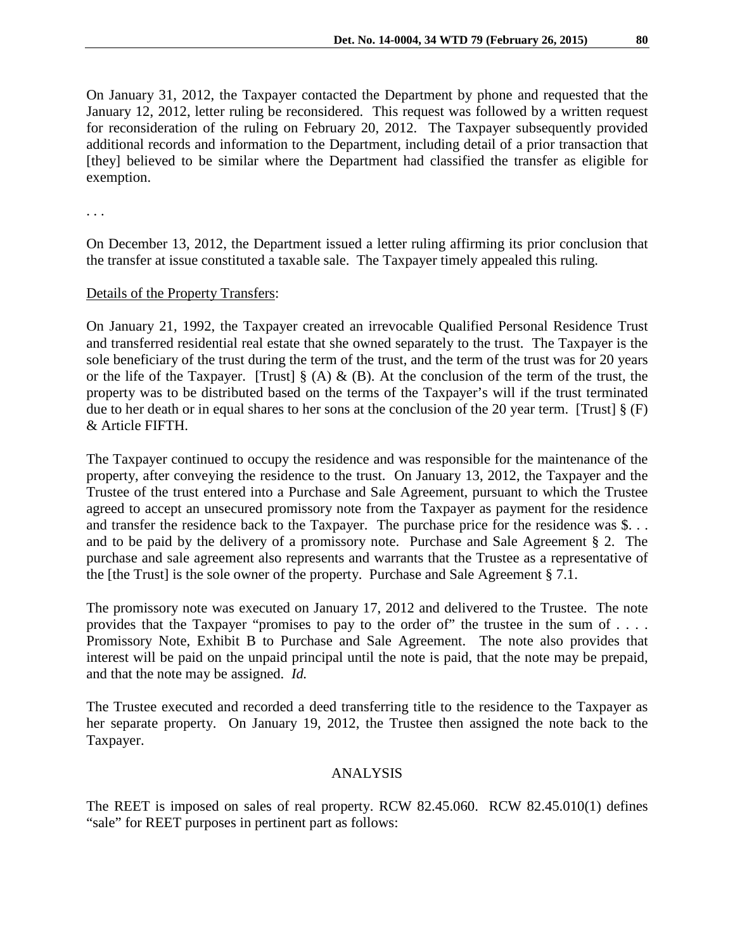On January 31, 2012, the Taxpayer contacted the Department by phone and requested that the January 12, 2012, letter ruling be reconsidered. This request was followed by a written request for reconsideration of the ruling on February 20, 2012. The Taxpayer subsequently provided additional records and information to the Department, including detail of a prior transaction that [they] believed to be similar where the Department had classified the transfer as eligible for exemption.

. . .

On December 13, 2012, the Department issued a letter ruling affirming its prior conclusion that the transfer at issue constituted a taxable sale. The Taxpayer timely appealed this ruling.

## Details of the Property Transfers:

On January 21, 1992, the Taxpayer created an irrevocable Qualified Personal Residence Trust and transferred residential real estate that she owned separately to the trust. The Taxpayer is the sole beneficiary of the trust during the term of the trust, and the term of the trust was for 20 years or the life of the Taxpayer. [Trust]  $\S(A) \& (B)$ . At the conclusion of the term of the trust, the property was to be distributed based on the terms of the Taxpayer's will if the trust terminated due to her death or in equal shares to her sons at the conclusion of the 20 year term. [Trust] § (F) & Article FIFTH.

The Taxpayer continued to occupy the residence and was responsible for the maintenance of the property, after conveying the residence to the trust. On January 13, 2012, the Taxpayer and the Trustee of the trust entered into a Purchase and Sale Agreement, pursuant to which the Trustee agreed to accept an unsecured promissory note from the Taxpayer as payment for the residence and transfer the residence back to the Taxpayer. The purchase price for the residence was \$. . . and to be paid by the delivery of a promissory note. Purchase and Sale Agreement § 2. The purchase and sale agreement also represents and warrants that the Trustee as a representative of the [the Trust] is the sole owner of the property. Purchase and Sale Agreement § 7.1.

The promissory note was executed on January 17, 2012 and delivered to the Trustee. The note provides that the Taxpayer "promises to pay to the order of" the trustee in the sum of . . . . Promissory Note, Exhibit B to Purchase and Sale Agreement. The note also provides that interest will be paid on the unpaid principal until the note is paid, that the note may be prepaid, and that the note may be assigned. *Id.* 

The Trustee executed and recorded a deed transferring title to the residence to the Taxpayer as her separate property. On January 19, 2012, the Trustee then assigned the note back to the Taxpayer.

## ANALYSIS

The REET is imposed on sales of real property. RCW 82.45.060. RCW 82.45.010(1) defines "sale" for REET purposes in pertinent part as follows: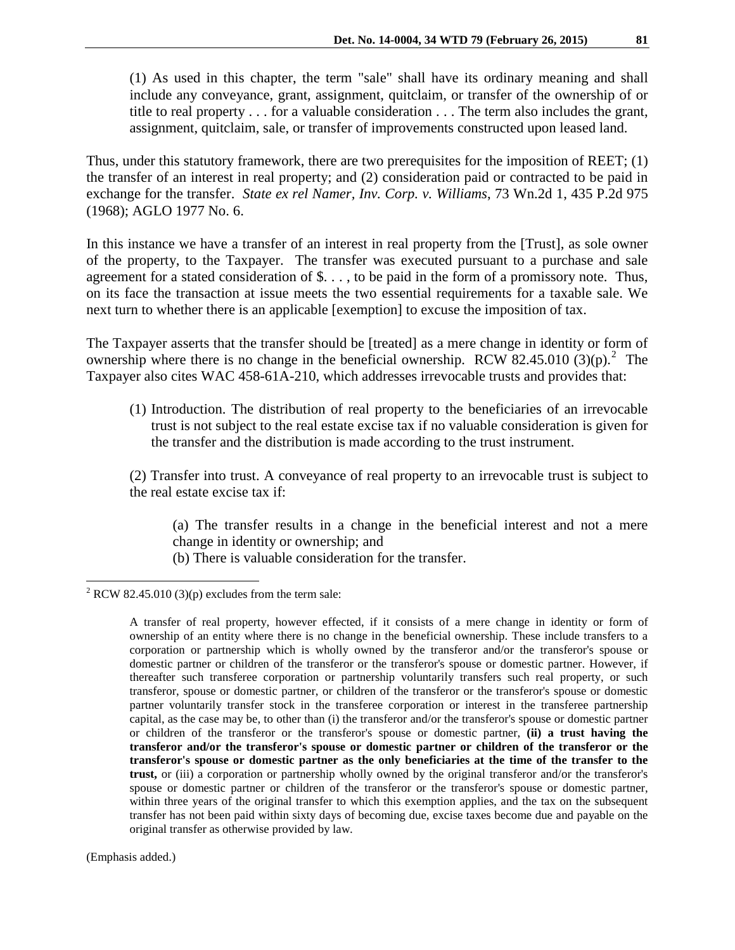(1) As used in this chapter, the term "sale" shall have its ordinary meaning and shall include any conveyance, grant, assignment, quitclaim, or transfer of the ownership of or title to real property . . . for a valuable consideration . . . The term also includes the grant, assignment, quitclaim, sale, or transfer of improvements constructed upon leased land.

Thus, under this statutory framework, there are two prerequisites for the imposition of REET; (1) the transfer of an interest in real property; and (2) consideration paid or contracted to be paid in exchange for the transfer. *State ex rel Namer, Inv. Corp. v. Williams*, 73 Wn.2d 1, 435 P.2d 975 (1968); AGLO 1977 No. 6.

In this instance we have a transfer of an interest in real property from the [Trust], as sole owner of the property, to the Taxpayer. The transfer was executed pursuant to a purchase and sale agreement for a stated consideration of \$. . . , to be paid in the form of a promissory note. Thus, on its face the transaction at issue meets the two essential requirements for a taxable sale. We next turn to whether there is an applicable [exemption] to excuse the imposition of tax.

The Taxpayer asserts that the transfer should be [treated] as a mere change in identity or form of ownership where there is no change in the beneficial ownership. RCW 8[2](#page-2-0).45.010 (3)(p).<sup>2</sup> The Taxpayer also cites WAC 458-61A-210, which addresses irrevocable trusts and provides that:

- (1) Introduction. The distribution of real property to the beneficiaries of an irrevocable trust is not subject to the real estate excise tax if no valuable consideration is given for the transfer and the distribution is made according to the trust instrument.
- (2) Transfer into trust. A conveyance of real property to an irrevocable trust is subject to the real estate excise tax if:

(a) The transfer results in a change in the beneficial interest and not a mere change in identity or ownership; and

(b) There is valuable consideration for the transfer.

(Emphasis added.)

 $\overline{a}$ 

<span id="page-2-0"></span><sup>&</sup>lt;sup>2</sup> RCW 82.45.010 (3)(p) excludes from the term sale:

A transfer of real property, however effected, if it consists of a mere change in identity or form of ownership of an entity where there is no change in the beneficial ownership. These include transfers to a corporation or partnership which is wholly owned by the transferor and/or the transferor's spouse or domestic partner or children of the transferor or the transferor's spouse or domestic partner. However, if thereafter such transferee corporation or partnership voluntarily transfers such real property, or such transferor, spouse or domestic partner, or children of the transferor or the transferor's spouse or domestic partner voluntarily transfer stock in the transferee corporation or interest in the transferee partnership capital, as the case may be, to other than (i) the transferor and/or the transferor's spouse or domestic partner or children of the transferor or the transferor's spouse or domestic partner, **(ii) a trust having the transferor and/or the transferor's spouse or domestic partner or children of the transferor or the transferor's spouse or domestic partner as the only beneficiaries at the time of the transfer to the trust,** or (iii) a corporation or partnership wholly owned by the original transferor and/or the transferor's spouse or domestic partner or children of the transferor or the transferor's spouse or domestic partner, within three years of the original transfer to which this exemption applies, and the tax on the subsequent transfer has not been paid within sixty days of becoming due, excise taxes become due and payable on the original transfer as otherwise provided by law.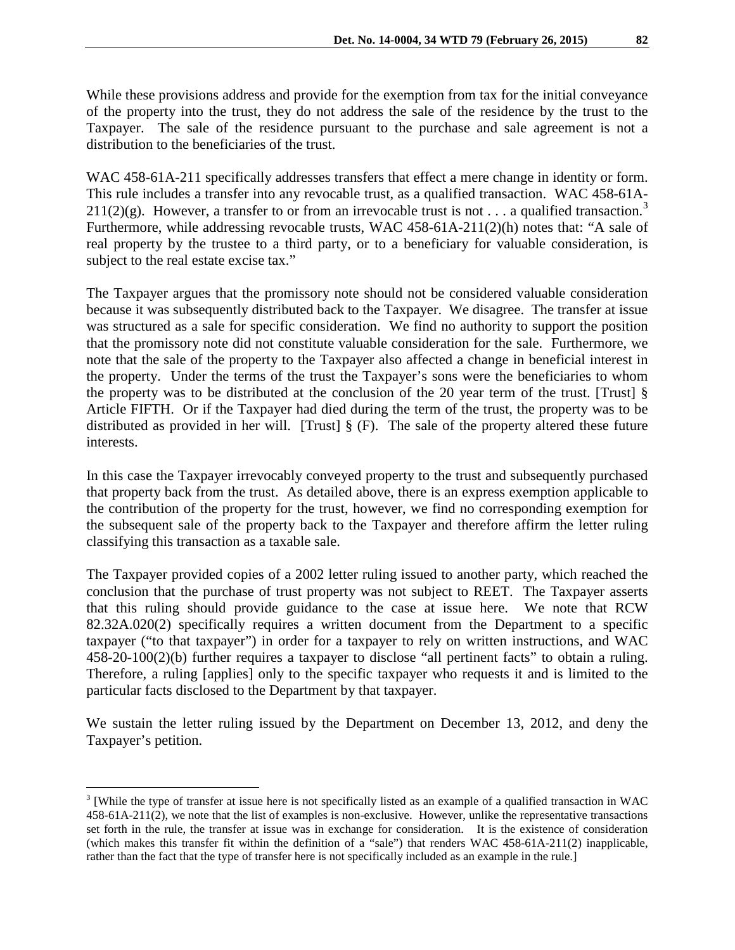While these provisions address and provide for the exemption from tax for the initial conveyance of the property into the trust, they do not address the sale of the residence by the trust to the Taxpayer. The sale of the residence pursuant to the purchase and sale agreement is not a distribution to the beneficiaries of the trust.

WAC 458-61A-211 specifically addresses transfers that effect a mere change in identity or form. This rule includes a transfer into any revocable trust, as a qualified transaction. WAC 458-61A-211(2)(g). However, a transfer to or from an irrevocable trust is not . . . a qualified transaction.<sup>[3](#page-3-0)</sup> Furthermore, while addressing revocable trusts, WAC 458-61A-211(2)(h) notes that: "A sale of real property by the trustee to a third party, or to a beneficiary for valuable consideration, is subject to the real estate excise tax."

The Taxpayer argues that the promissory note should not be considered valuable consideration because it was subsequently distributed back to the Taxpayer. We disagree. The transfer at issue was structured as a sale for specific consideration. We find no authority to support the position that the promissory note did not constitute valuable consideration for the sale. Furthermore, we note that the sale of the property to the Taxpayer also affected a change in beneficial interest in the property. Under the terms of the trust the Taxpayer's sons were the beneficiaries to whom the property was to be distributed at the conclusion of the 20 year term of the trust. [Trust] § Article FIFTH. Or if the Taxpayer had died during the term of the trust, the property was to be distributed as provided in her will. [Trust] § (F). The sale of the property altered these future interests.

In this case the Taxpayer irrevocably conveyed property to the trust and subsequently purchased that property back from the trust. As detailed above, there is an express exemption applicable to the contribution of the property for the trust, however, we find no corresponding exemption for the subsequent sale of the property back to the Taxpayer and therefore affirm the letter ruling classifying this transaction as a taxable sale.

The Taxpayer provided copies of a 2002 letter ruling issued to another party, which reached the conclusion that the purchase of trust property was not subject to REET. The Taxpayer asserts that this ruling should provide guidance to the case at issue here. We note that RCW 82.32A.020(2) specifically requires a written document from the Department to a specific taxpayer ("to that taxpayer") in order for a taxpayer to rely on written instructions, and WAC 458-20-100(2)(b) further requires a taxpayer to disclose "all pertinent facts" to obtain a ruling. Therefore, a ruling [applies] only to the specific taxpayer who requests it and is limited to the particular facts disclosed to the Department by that taxpayer.

We sustain the letter ruling issued by the Department on December 13, 2012, and deny the Taxpayer's petition.

 $\overline{a}$ 

<span id="page-3-0"></span><sup>&</sup>lt;sup>3</sup> [While the type of transfer at issue here is not specifically listed as an example of a qualified transaction in WAC 458-61A-211(2), we note that the list of examples is non-exclusive. However, unlike the representative transactions set forth in the rule, the transfer at issue was in exchange for consideration. It is the existence of consideration (which makes this transfer fit within the definition of a "sale") that renders WAC 458-61A-211(2) inapplicable, rather than the fact that the type of transfer here is not specifically included as an example in the rule.]